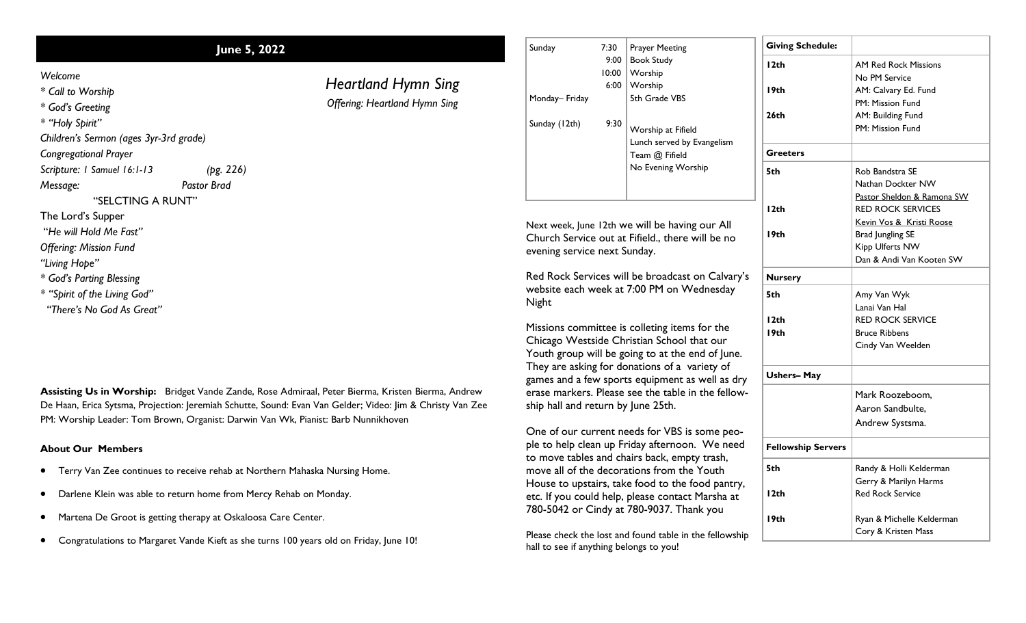## **June 5, 2022**

*Heartland Hymn Sing Offering: Heartland Hymn Sing*

*Welcome*

*\* Call to Worship*

*\* God's Greeting*

*\* "Holy Spirit"*

*Children's Sermon (ages 3yr-3rd grade)*

*Congregational Prayer*

*Scripture: 1 Samuel 16:1-13 (pg. 226)*

*Message: Pastor Brad*

"SELCTING A RUNT"

The Lord's Supper

"*He will Hold Me Fast"*

*Offering: Mission Fund*

*"Living Hope"*

*\* God's Parting Blessing*

*\* "Spirit of the Living God"*

 *"There's No God As Great"*

**Assisting Us in Worship:** Bridget Vande Zande, Rose Admiraal, Peter Bierma, Kristen Bierma, Andrew De Haan, Erica Sytsma, Projection: Jeremiah Schutte, Sound: Evan Van Gelder; Video: Jim & Christy Van Zee PM: Worship Leader: Tom Brown, Organist: Darwin Van Wk, Pianist: Barb Nunnikhoven

## **About Our Members**

- Terry Van Zee continues to receive rehab at Northern Mahaska Nursing Home.
- Darlene Klein was able to return home from Mercy Rehab on Monday.
- Martena De Groot is getting therapy at Oskaloosa Care Center.
- Congratulations to Margaret Vande Kieft as she turns 100 years old on Friday, June 10!

| Sunday                                                                                   | 7:30  | <b>Prayer Meeting</b>                                                                            | <b>Giving Schedule:</b>   |                             |
|------------------------------------------------------------------------------------------|-------|--------------------------------------------------------------------------------------------------|---------------------------|-----------------------------|
|                                                                                          | 9:00  | <b>Book Study</b>                                                                                | $l$ 2th                   | <b>AM Red Rock Missions</b> |
|                                                                                          | 10:00 | Worship                                                                                          |                           | No PM Service               |
|                                                                                          | 6:00  | Worship                                                                                          | 19 <sub>th</sub>          | AM: Calvary Ed. Fund        |
| Monday-Friday                                                                            |       | 5th Grade VBS                                                                                    |                           | PM: Mission Fund            |
|                                                                                          |       |                                                                                                  | 26 <sub>th</sub>          | AM: Building Fund           |
| Sunday (12th)                                                                            | 9:30  | Worship at Fifield                                                                               |                           | PM: Mission Fund            |
|                                                                                          |       | Lunch served by Evangelism                                                                       |                           |                             |
|                                                                                          |       | Team @ Fifield                                                                                   | <b>Greeters</b>           |                             |
|                                                                                          |       | No Evening Worship                                                                               | 5th                       | Rob Bandstra SE             |
|                                                                                          |       |                                                                                                  |                           | Nathan Dockter NW           |
|                                                                                          |       |                                                                                                  |                           | Pastor Sheldon & Ramona SW  |
|                                                                                          |       |                                                                                                  | 12th                      | <b>RED ROCK SERVICES</b>    |
|                                                                                          |       | Next week, June 12th we will be having our All                                                   |                           | Kevin Vos & Kristi Roose    |
| Church Service out at Fifield., there will be no<br>evening service next Sunday.         |       |                                                                                                  | 19 <sub>th</sub>          | <b>Brad Jungling SE</b>     |
|                                                                                          |       |                                                                                                  |                           | Kipp Ulferts NW             |
|                                                                                          |       |                                                                                                  |                           | Dan & Andi Van Kooten SW    |
|                                                                                          |       | Red Rock Services will be broadcast on Calvary's                                                 | <b>Nursery</b>            |                             |
| website each week at 7:00 PM on Wednesday                                                |       |                                                                                                  | 5th                       | Amy Van Wyk                 |
| Night                                                                                    |       |                                                                                                  |                           | Lanai Van Hal               |
|                                                                                          |       |                                                                                                  | 12th                      | <b>RED ROCK SERVICE</b>     |
|                                                                                          |       | Missions committee is colleting items for the                                                    | 19 <sub>th</sub>          | <b>Bruce Ribbens</b>        |
|                                                                                          |       | Chicago Westside Christian School that our                                                       |                           | Cindy Van Weelden           |
|                                                                                          |       | Youth group will be going to at the end of June.                                                 |                           |                             |
|                                                                                          |       | They are asking for donations of a variety of<br>games and a few sports equipment as well as dry | <b>Ushers-May</b>         |                             |
| erase markers. Please see the table in the fellow-<br>ship hall and return by June 25th. |       |                                                                                                  |                           | Mark Roozeboom,             |
|                                                                                          |       |                                                                                                  |                           | Aaron Sandbulte,            |
|                                                                                          |       |                                                                                                  |                           | Andrew Systsma.             |
|                                                                                          |       | One of our current needs for VBS is some peo-                                                    |                           |                             |
| ple to help clean up Friday afternoon. We need                                           |       |                                                                                                  |                           |                             |
|                                                                                          |       |                                                                                                  | <b>Fellowship Servers</b> |                             |

**5th**

Randy & Holli Kelderman Gerry & Marilyn Harms Red Rock Service

Ryan & Michelle Kelderman Cory & Kristen Mass

**12th**

**19th**

to move tables and chairs back, empty trash, move all of the decorations from the Youth House to upstairs, take food to the food pantry, etc. If you could help, please contact Marsha at 780-5042 or Cindy at 780-9037. Thank you

Please check the lost and found table in the fellowship hall to see if anything belongs to you!